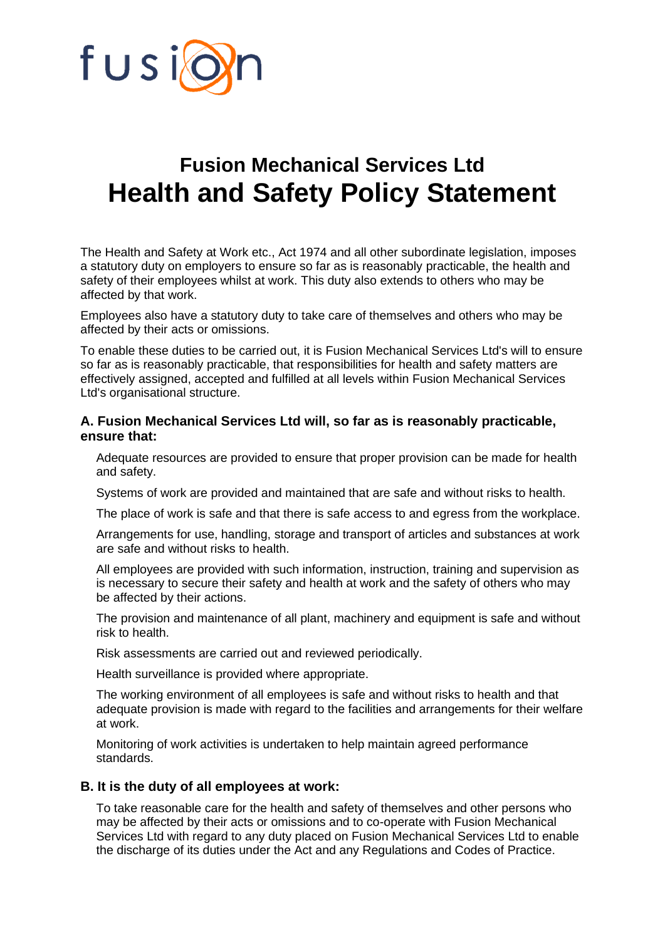

## **Fusion Mechanical Services Ltd Health and Safety Policy Statement**

The Health and Safety at Work etc., Act 1974 and all other subordinate legislation, imposes a statutory duty on employers to ensure so far as is reasonably practicable, the health and safety of their employees whilst at work. This duty also extends to others who may be affected by that work.

Employees also have a statutory duty to take care of themselves and others who may be affected by their acts or omissions.

To enable these duties to be carried out, it is Fusion Mechanical Services Ltd's will to ensure so far as is reasonably practicable, that responsibilities for health and safety matters are effectively assigned, accepted and fulfilled at all levels within Fusion Mechanical Services Ltd's organisational structure.

## **A. Fusion Mechanical Services Ltd will, so far as is reasonably practicable, ensure that:**

Adequate resources are provided to ensure that proper provision can be made for health and safety.

Systems of work are provided and maintained that are safe and without risks to health.

The place of work is safe and that there is safe access to and egress from the workplace.

Arrangements for use, handling, storage and transport of articles and substances at work are safe and without risks to health.

All employees are provided with such information, instruction, training and supervision as is necessary to secure their safety and health at work and the safety of others who may be affected by their actions.

The provision and maintenance of all plant, machinery and equipment is safe and without risk to health.

Risk assessments are carried out and reviewed periodically.

Health surveillance is provided where appropriate.

The working environment of all employees is safe and without risks to health and that adequate provision is made with regard to the facilities and arrangements for their welfare at work.

Monitoring of work activities is undertaken to help maintain agreed performance standards.

## **B. It is the duty of all employees at work:**

To take reasonable care for the health and safety of themselves and other persons who may be affected by their acts or omissions and to co-operate with Fusion Mechanical Services Ltd with regard to any duty placed on Fusion Mechanical Services Ltd to enable the discharge of its duties under the Act and any Regulations and Codes of Practice.